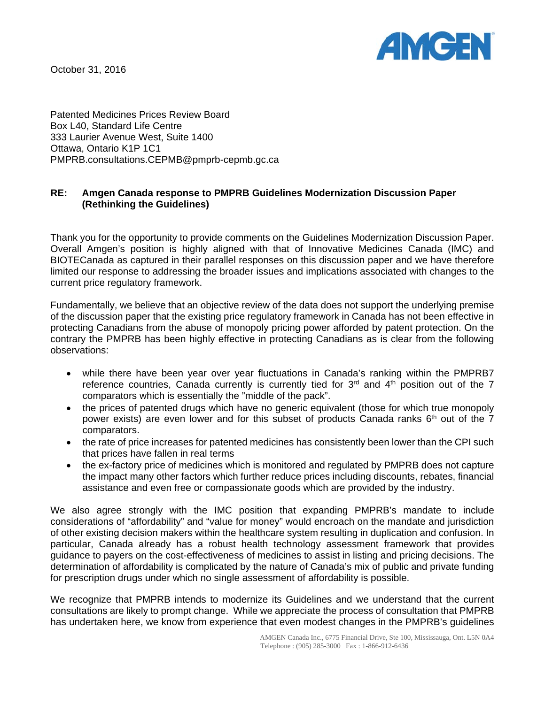

October 31, 2016

Patented Medicines Prices Review Board Box L40, Standard Life Centre 333 Laurier Avenue West, Suite 1400 Ottawa, Ontario K1P 1C1 PMPRB.consultations.CEPMB@pmprb-cepmb.gc.ca

## **RE: Amgen Canada response to PMPRB Guidelines Modernization Discussion Paper (Rethinking the Guidelines)**

Thank you for the opportunity to provide comments on the Guidelines Modernization Discussion Paper. Overall Amgen's position is highly aligned with that of Innovative Medicines Canada (IMC) and BIOTECanada as captured in their parallel responses on this discussion paper and we have therefore limited our response to addressing the broader issues and implications associated with changes to the current price regulatory framework.

Fundamentally, we believe that an objective review of the data does not support the underlying premise of the discussion paper that the existing price regulatory framework in Canada has not been effective in protecting Canadians from the abuse of monopoly pricing power afforded by patent protection. On the contrary the PMPRB has been highly effective in protecting Canadians as is clear from the following observations:

- while there have been year over year fluctuations in Canada's ranking within the PMPRB7 reference countries, Canada currently is currently tied for  $3<sup>rd</sup>$  and  $4<sup>th</sup>$  position out of the 7 comparators which is essentially the "middle of the pack".
- the prices of patented drugs which have no generic equivalent (those for which true monopoly power exists) are even lower and for this subset of products Canada ranks  $6<sup>th</sup>$  out of the 7 comparators.
- the rate of price increases for patented medicines has consistently been lower than the CPI such that prices have fallen in real terms
- the ex-factory price of medicines which is monitored and regulated by PMPRB does not capture the impact many other factors which further reduce prices including discounts, rebates, financial assistance and even free or compassionate goods which are provided by the industry.

We also agree strongly with the IMC position that expanding PMPRB's mandate to include considerations of "affordability" and "value for money" would encroach on the mandate and jurisdiction of other existing decision makers within the healthcare system resulting in duplication and confusion. In particular, Canada already has a robust health technology assessment framework that provides guidance to payers on the cost-effectiveness of medicines to assist in listing and pricing decisions. The determination of affordability is complicated by the nature of Canada's mix of public and private funding for prescription drugs under which no single assessment of affordability is possible.

We recognize that PMPRB intends to modernize its Guidelines and we understand that the current consultations are likely to prompt change. While we appreciate the process of consultation that PMPRB has undertaken here, we know from experience that even modest changes in the PMPRB's guidelines